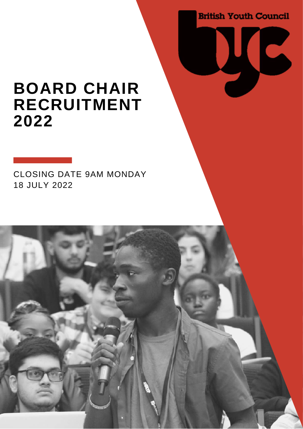**British Youth Council** 

**IC** 

### **BOARD CHAIR RECRUITMENT 2022**

CLOSING DATE 9AM MONDAY 18 JULY 2022

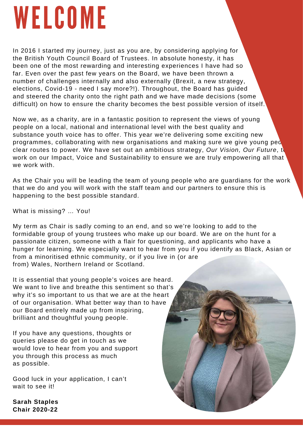# WELCOME

In 2016 I started my journey, just as you are, by considering applying for the British Youth Council Board of Trustees. In absolute honesty, it has been one of the most rewarding and interesting experiences I have had so far. Even over the past few years on the Board, we have been thrown a number of challenges internally and also externally (Brexit, a new strategy, elections, Covid-19 - need I say more?!). Throughout, the Board has guided and steered the charity onto the right path and we have made decisions (some difficult) on how to ensure the charity becomes the best possible version of itself.

Now we, as a charity, are in a fantastic position to represent the views of young people on a local, national and international level with the best quality and substance youth voice has to offer. This year we're delivering some exciting new programmes, collaborating with new organisations and making sure we give young peo clear routes to power. We have set out an ambitious strategy, *Our Vision, Our Future*, to work on our Impact, Voice and Sustainability to ensure we are truly empowering all that we work with.

As the Chair you will be leading the team of young people who are guardians for the work that we do and you will work with the staff team and our partners to ensure this is happening to the best possible standard.

What is missing? … You!

My term as Chair is sadly coming to an end, and so we're looking to add to the formidable group of young trustees who make up our board. We are on the hunt for a passionate citizen, someone with a flair for questioning, and applicants who have a hunger for learning. We especially want to hear from you if you identify as Black, Asian or from a minoritised ethnic community, or if you live in (or are from) Wales, Northern Ireland or Scotland.

It is essential that young people's voices are heard. We want to live and breathe this sentiment so that's why it's so important to us that we are at the heart of our organisation. What better way than to have our Board entirely made up from inspiring, brilliant and thoughtful young people.

If you have any questions, thoughts or queries please do get in touch as we would love to hear from you and support you through this process as much as possible.

Good luck in your application, I can't wait to see it!

**Sarah Staples Chair 2020-22**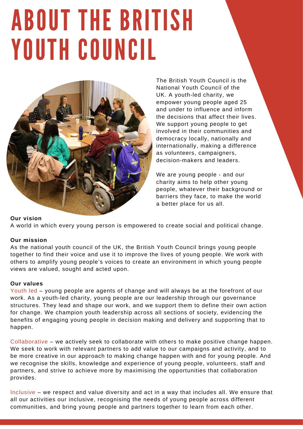## ABOUT THE BRITISH YOUTH COUNCIL



The British Youth Council is the National Youth Council of the UK. A youth-led charity, we empower young people aged 25 and under to influence and inform the decisions that affect their lives. We support young people to get involved in their communities and democracy locally, nationally and internationally, making a difference as volunteers, campaigners, decision-makers and leaders.

We are young people - and our charity aims to help other young people, whatever their background or barriers they face, to make the world a better place for us all.

#### **Our vision**

A world in which every young person is empowered to create social and political change.

#### **Our mission**

As the national youth council of the UK, the British Youth Council brings young people together to find their voice and use it to improve the lives of young people. We work with others to amplify young people's voices to create an environment in which young people views are valued, sought and acted upon.

#### **Our values**

Youth led – young people are agents of change and will always be at the forefront of our work. As a youth-led charity, young people are our leadership through our governance structures. They lead and shape our work, and we support them to define their own action for change. We champion youth leadership across all sections of society, evidencing the benefits of engaging young people in decision making and delivery and supporting that to happen.

Collaborative – we actively seek to collaborate with others to make positive change happen. We seek to work with relevant partners to add value to our campaigns and activity, and to be more creative in our approach to making change happen with and for young people. And we recognise the skills, knowledge and experience of young people, volunteers, staff and partners, and strive to achieve more by maximising the opportunities that collaboration provides.

Inclusive – we respect and value diversity and act in a way that includes all. We ensure that all our activities our inclusive, recognising the needs of young people across different communities, and bring young people and partners together to learn from each other.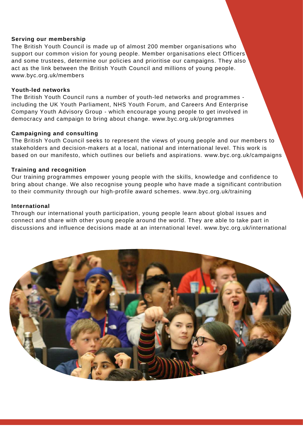#### **Serving our membership**

The British Youth Council is made up of almost 200 member organisations who support our common vision for young people. Member organisations elect Officers and some trustees, determine our policies and prioritise our campaigns. They also act as the link between the British Youth Council and millions of young people. [www.byc.org.uk/members](http://www.byc.org.uk/members)

#### **Youth-led networks**

The British Youth Council runs a number of youth-led networks and programmes including the UK Youth Parliament, NHS Youth Forum, and Careers And Enterprise Company Youth Advisory Group - which encourage young people to get involved in democracy and campaign to bring about change. [www.byc.org.uk/programmes](http://www.byc.org.uk/programmes)

#### **Campaigning and consulting**

The British Youth Council seeks to represent the views of young people and our members to stakeholders and decision-makers at a local, national and international level. This work is based on our manifesto, which outlines our beliefs and aspirations. [www.byc.org.uk/campaigns](http://www.byc.org.uk/campaigns)

#### **Training and recognition**

Our training programmes empower young people with the skills, knowledge and confidence to bring about change. We also recognise young people who have made a significant contribution to their community through our high-profile award schemes. [www.byc.org.uk/training](http://www.byc.org.uk/training)

#### **International**

Through our international youth participation, young people learn about global issues and connect and share with other young people around the world. They are able to take part in discussions and influence decisions made at an international level. [www.byc.org.uk/international](http://www.byc.org.uk/international)

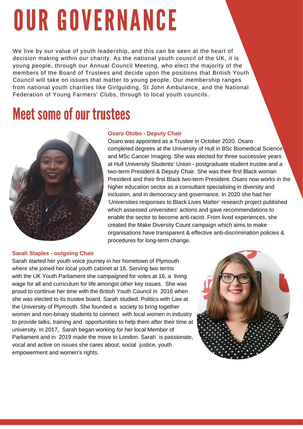# OUR GOVERNANCE

We live by our value of youth leadership, and this can be seen at the heart of decision making within our charity. As the national youth council of the UK, it is young people, through our Annual Council Meeting, who elect the majority of the members of the Board of Trustees and decide upon the positions that British Youth Council will take on issues that matter to young people. Our membership ranges from national youth charities like Girlguiding, St John Ambulance, and the National Federation of Young Farmers' Clubs, through to local youth councils.

### **Meet some of our trustees**



#### **Osaro Otobo - Deputy Chair**

Osaro was appointed as a Trustee in October 2020. Osaro completed degrees at the University of Hull in BSc Biomedical Science and MSc Cancer Imaging. She was elected for three successive years at Hull University Students' Union - postgraduate student trustee and a two-term President & Deputy Chair. She was their first Black woman President and their first Black two-term President. Osaro now works in the higher education sector as a consultant specialising in diversity and inclusion, and in democracy and governance. In 2020 she had her 'Universities responses to Black Lives Matter' research project published which assessed universities' actions and gave recommendations to enable the sector to become anti-racist. From lived experiences, she created the Make Diversity Count campaign which aims to make organisations have transparent & effective anti-discrimination policies & procedures for long-term change.

#### **Sarah Staples - outgoing Chair**

Sarah started her youth voice journey in her hometown of Plymouth where she joined her local youth cabinet at 16. Serving two terms with the UK Youth Parliament she campaigned for votes at 16, a living wage for all and curriculum for life amongst other key issues. She was proud to continue her time with the British Youth Council in 2016 when she was elected to its trustee board. Sarah studied Politics with Law at the University of Plymouth. She founded a society to bring together women and non-binary students to connect with local women in industry to provide talks, training and opportunities to help them after their time at university. In 2017, Sarah began working for her local Member of Parliament and in 2019 made the move to London. Sarah is passionate, vocal and active on issues she cares about; social justice, youth empowerment and women's rights.

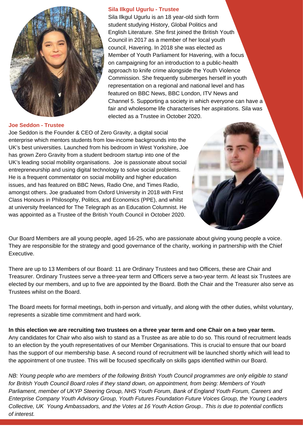

#### **Joe Seddon - Trustee**

Joe Seddon is the Founder & CEO of Zero Gravity, a digital social enterprise which mentors students from low-income backgrounds into the UK's best universities. Launched from his bedroom in West Yorkshire, Joe has grown Zero Gravity from a student bedroom startup into one of the UK's leading social mobility organisations. Joe is passionate about social entrepreneurship and using digital technology to solve social problems. He is a frequent commentator on social mobility and higher education issues, and has featured on BBC News, Radio One, and Times Radio, amongst others. Joe graduated from Oxford University in 2018 with First Class Honours in Philosophy, Politics, and Economics (PPE), and whilst at university freelanced for The Telegraph as an Education Columnist. He was appointed as a Trustee of the British Youth Council in October 2020.

Our Board Members are all young people, aged 16-25, who are passionate about giving young people a voice. They are responsible for the strategy and good governance of the charity, working in partnership with the Chief Executive.

There are up to 13 Members of our Board: 11 are Ordinary Trustees and two Officers, these are Chair and Treasurer. Ordinary Trustees serve a three-year term and Officers serve a two-year term. At least six Trustees are elected by our members, and up to five are appointed by the Board. Both the Chair and the Treasurer also serve as Trustees whilst on the Board.

The Board meets for formal meetings, both in-person and virtually, and along with the other duties, whilst voluntary, represents a sizable time commitment and hard work.

In this election we are recruiting two trustees on a three year term and one Chair on a two year term. Any candidates for Chair who also wish to stand as a Trustee as are able to do so. This round of recruitment leads to an election by the youth representatives of our Member Organisations. This is crucial to ensure that our board has the support of our membership base. A second round of recruitment will be launched shortly which will lead to the appointment of one trustee. This will be focused specifically on skills gaps identified within our Board.

NB: Young people who are members of the following British Youth Council programmes are only eligible to stand *for British Youth Council Board roles if they stand down, on appointment, from being: Members of Youth Parliament, member of UKYP Steering Group, NHS Youth Forum, Bank of England Youth Forum, Careers and Enterprise Company Youth Advisory Group, Youth Futures Foundation Future Voices Group, the Young Leaders* Collective, UK Young Ambassadors, and the Votes at 16 Youth Action Group.. This is due to potential conflicts *of interest.*

#### **Sila Ilkgul Ugurlu - Trustee**

Sila Ilkgul Ugurlu is an 18 year-old sixth form student studying History, Global Politics and English Literature. She first joined the British Youth Council in 2017 as a member of her local youth council, Havering. In 2018 she was elected as Member of Youth Parliament for Havering, with a focus on campaigning for an introduction to a public-health approach to knife crime alongside the Youth Violence Commission. She frequently submerges herself in youth representation on a regional and national level and has featured on BBC News, BBC London, ITV News and Channel 5. Supporting a society in which everyone can have a fair and wholesome life characterises her aspirations. Sila was elected as a Trustee in October 2020.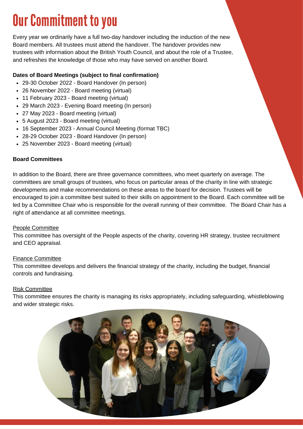### **Our Commitment to you**

Every year we ordinarily have a full two-day handover including the induction of the new Board members. All trustees must attend the handover. The handover provides new trustees with information about the British Youth Council, and about the role of a Trustee, and refreshes the knowledge of those who may have served on another Board.

#### **Dates of Board Meetings (subject to final confirmation)**

- 29-30 October 2022 Board Handover (In person)
- 26 November 2022 Board meeting (virtual)
- 11 February 2023 Board meeting (virtual)
- 29 March 2023 Evening Board meeting (In person)
- 27 May 2023 Board meeting (virtual)
- 5 August 2023 Board meeting (virtual)
- 16 September 2023 Annual Council Meeting (format TBC)
- 28-29 October 2023 Board Handover (In person)
- 25 November 2023 Board meeting (virtual)

#### **Board Committees**

In addition to the Board, there are three governance committees, who meet quarterly on average. The committees are small groups of trustees, who focus on particular areas of the charity in line with strategic developments and make recommendations on these areas to the board for decision. Trustees will be encouraged to join a committee best suited to their skills on appointment to the Board. Each committee will be led by a Committee Chair who is responsible for the overall running of their committee. The Board Chair has a right of attendance at all committee meetings.

#### People Committee

This committee has oversight of the People aspects of the charity, covering HR strategy, trustee recruitment and CEO appraisal.

#### Finance Committee

This committee develops and delivers the financial strategy of the charity, including the budget, financial controls and fundraising.

#### Risk Committee

This committee ensures the charity is managing its risks appropriately, including safeguarding, whistleblowing and wider strategic risks.

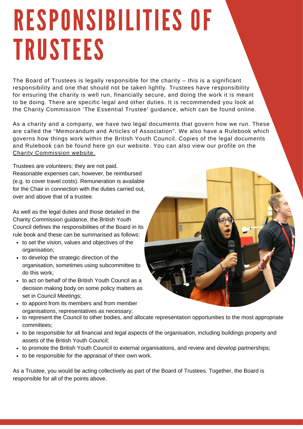## RESPONSIBILITIES OF TRUSTEES

The Board of Trustees is legally responsible for the charity – this is a significant responsibility and one that should not be taken lightly. Trustees have responsibility for ensuring the charity is well run, financially secure, and doing the work it is meant to be doing. There are specific legal and other duties. It is recommended you look at the Charity Commission 'The Essential Trustee' guidance, which can be found [online](https://assets.publishing.service.gov.uk/government/uploads/system/uploads/attachment_data/file/866947/CC3_feb20.pdf).

As a charity and a company, we have two legal documents that govern how we run. These are called the "Memorandum and Articles of Association". We also have a Rulebook which governs how things work within the British Youth Council. Copies of the legal documents and Ruleb[o](http://www.byc.org.uk/aboutus/our-governance)ok can be found here on our website. You can also view our profile on the Charity [Commission](http://apps.charitycommission.gov.uk/showcharity/registerofcharities/charitywithpartb.aspx?registeredcharitynumber=1123224&subsidiarynumber=0) website.

Trustees are volunteers; they are not paid. Reasonable expenses can, however, be reimbursed (e.g. to cover travel costs). Remuneration is available for the Chair in connection with the duties carried out, over and above that of a trustee.

As well as the legal duties and those detailed in the Charity Commission guidance, the British Youth Council defines the responsibilities of the Board in its rule book and these can be summarised as follows:

- to set the vision, values and objectives of the organisation;
- to develop the strategic direction of the organisation, sometimes using subcommittee to do this work;
- to act on behalf of the British Youth Council as a decision making body on some policy matters as set in Council Meetings;
- to appoint from its members and from member organisations, representatives as necessary;
- to represent the Council to other bodies, and allocate representation opportunities to the most appropriate committees;
- to be responsible for all financial and legal aspects of the organisation, including buildings property and assets of the British Youth Council;
- to promote the British Youth Council to external organisations, and review and develop partnerships;
- to be responsible for the appraisal of their own work.

As a Trustee, you would be acting collectively as part of the Board of Trustees. Together, the Board is responsible for all of the points above.

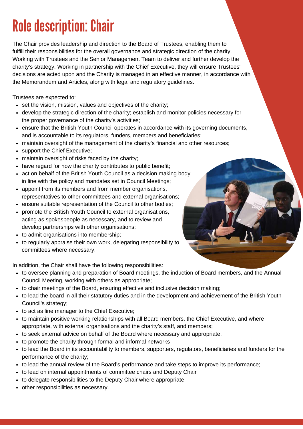## **Role description: Chair**

The Chair provides leadership and direction to the Board of Trustees, enabling them to fulfill their responsibilities for the overall governance and strategic direction of the charity. Working with Trustees and the Senior Management Team to deliver and further develop the charity's strategy. Working in partnership with the Chief Executive, they will ensure Trustees' decisions are acted upon and the Charity is managed in an effective manner, in accordance with the Memorandum and Articles, along with legal and regulatory guidelines.

Trustees are expected to:

- set the vision, mission, values and objectives of the charity;
- develop the strategic direction of the charity; establish and monitor policies necessary for the proper governance of the charity's activities;
- ensure that the British Youth Council operates in accordance with its governing documents, and is accountable to its regulators, funders, members and beneficiaries;
- maintain oversight of the management of the charity's financial and other resources;
- support the Chief Executive;
- maintain oversight of risks faced by the charity;
- have regard for how the charity contributes to public benefit;
- act on behalf of the British Youth Council as a decision making body in line with the policy and mandates set in Council Meetings;
- appoint from its members and from member organisations, representatives to other committees and external organisations;
- ensure suitable representation of the Council to other bodies;
- promote the British Youth Council to external organisations, acting as spokespeople as necessary, and to review and develop partnerships with other organisations;
- to admit organisations into membership;
- to regularly appraise their own work, delegating responsibility to committees where necessary.

In addition, the Chair shall have the following responsibilities:

- to oversee planning and preparation of Board meetings, the induction of Board members, and the Annual Council Meeting, working with others as appropriate;
- to chair meetings of the Board, ensuring effective and inclusive decision making;
- to lead the board in all their statutory duties and in the development and achievement of the British Youth Council's strategy;
- to act as line manager to the Chief Executive;
- to maintain positive working relationships with all Board members, the Chief Executive, and where appropriate, with external organisations and the charity's staff, and members;
- to seek external advice on behalf of the Board where necessary and appropriate.
- to promote the charity through formal and informal networks
- to lead the Board in its accountability to members, supporters, regulators, beneficiaries and funders for the performance of the charity;
- to lead the annual review of the Board's performance and take steps to improve its performance;
- to lead on internal appointments of committee chairs and Deputy Chair
- to delegate responsibilities to the Deputy Chair where appropriate.
- other responsibilities as necessary.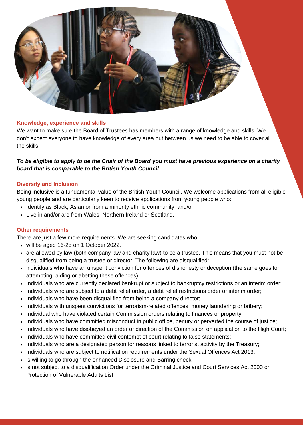

#### **Knowledge, experience and skills**

We want to make sure the Board of Trustees has members with a range of knowledge and skills. We don't expect everyone to have knowledge of every area but between us we need to be able to cover all the skills.

#### To be eligible to apply to be the Chair of the Board you must have previous experience on a charity *board that is comparable to the British Youth Council.*

#### **Diversity and Inclusion**

Being inclusive is a fundamental value of the British Youth Council. We welcome applications from all eligible young people and are particularly keen to receive applications from young people who:

- Identify as Black, Asian or from a minority ethnic community; and/or
- Live in and/or are from Wales, Northern Ireland or Scotland.

#### **Other requirements**

There are just a few more requirements. We are seeking candidates who:

- will be aged 16-25 on 1 October 2022.
- are allowed by law (both company law and charity law) to be a trustee. This means that you must not be disqualified from being a trustee or director. The following are disqualified:
- individuals who have an unspent conviction for offences of dishonesty or deception (the same goes for attempting, aiding or abetting these offences);
- Individuals who are currently declared bankrupt or subject to bankruptcy restrictions or an interim order;
- Individuals who are subject to a debt relief order, a debt relief restrictions order or interim order;
- Individuals who have been disqualified from being a company director;
- Individuals with unspent convictions for terrorism-related offences, money laundering or bribery;
- Individual who have violated certain Commission orders relating to finances or property;
- Individuals who have committed misconduct in public office, perjury or perverted the course of justice;
- Individuals who have disobeyed an order or direction of the Commission on application to the High Court;
- Individuals who have committed civil contempt of court relating to false statements;
- Individuals who are a designated person for reasons linked to terrorist activity by the Treasury;
- Individuals who are subject to notification requirements under the Sexual Offences Act 2013.
- is willing to go through the enhanced Disclosure and Barring check.
- is not subject to a disqualification Order under the Criminal Justice and Court Services Act 2000 or Protection of Vulnerable Adults List.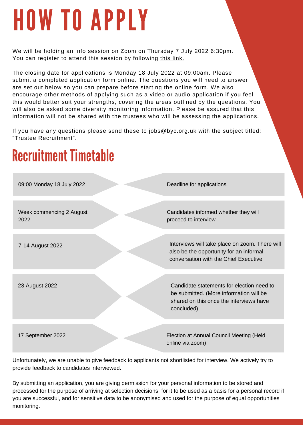# HOW TO APPLY

We will be holding an info session on Zoom on Thursday 7 July 2022 6:30pm. You can register to attend this session by following this [link.](https://us06web.zoom.us/meeting/register/tZYld-CtrTwsHdOELLoCjXcasaY2mpuiUPiH)

The closing date for applications is Monday 18 July 2022 at 09:00am. Please submit a completed application form online. The questions you will need to answer are set out below so you can prepare before starting the online form. We also encourage other methods of applying such as a video or audio application if you feel this would better suit your strengths, covering the areas outlined by the questions. You will also be asked some diversity monitoring information. Please be assured that this information will not be shared with the trustees who will be assessing the applications.

If you have any questions please send these to jobs@byc.org.uk with the subject titled: "Trustee Recruitment".

### **Recruitment Timetable** 09:00 Monday 18 July 2022 Deadline for applications Week commencing 2 August 2022 Candidates informed whether they will proceed to interview 7-14 August 2022 Interviews will take place on zoom. There will also be the opportunity for an informal conversation with the Chief Executive 23 August 2022 Candidate statements for election need to be submitted. (More information will be shared on this once the interviews have concluded) 17 September 2022 Election at Annual Council Meeting (Held online via zoom)

Unfortunately, we are unable to give feedback to applicants not shortlisted for interview. We actively try to provide feedback to candidates interviewed.

By submitting an application, you are giving permission for your personal information to be stored and processed for the purpose of arriving at selection decisions, for it to be used as a basis for a personal record if you are successful, and for sensitive data to be anonymised and used for the purpose of equal opportunities monitoring.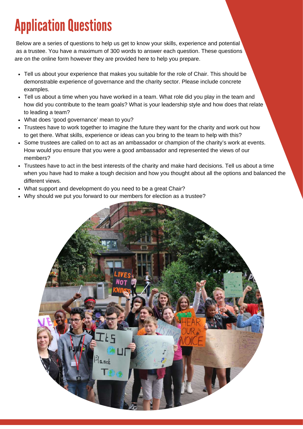## **Application Questions**

Below are a series of questions to help us get to know your skills, experience and potential as a trustee. You have a maximum of 300 words to answer each question. These questions are on the online form however they are provided here to help you prepare.

- Tell us about your experience that makes you suitable for the role of Chair. This should be demonstrable experience of governance and the charity sector. Please include concrete examples.
- Tell us about a time when you have worked in a team. What role did you play in the team and how did you contribute to the team goals? What is your leadership style and how does that relate to leading a team?
- What does 'good governance' mean to you?
- Trustees have to work together to imagine the future they want for the charity and work out how to get there. What skills, experience or ideas can you bring to the team to help with this?
- Some trustees are called on to act as an ambassador or champion of the charity's work at events. How would you ensure that you were a good ambassador and represented the views of our members?
- Trustees have to act in the best interests of the charity and make hard decisions. Tell us about a time when you have had to make a tough decision and how you thought about all the options and balanced the different views.
- What support and development do you need to be a great Chair?
- Why should we put you forward to our members for election as a trustee?